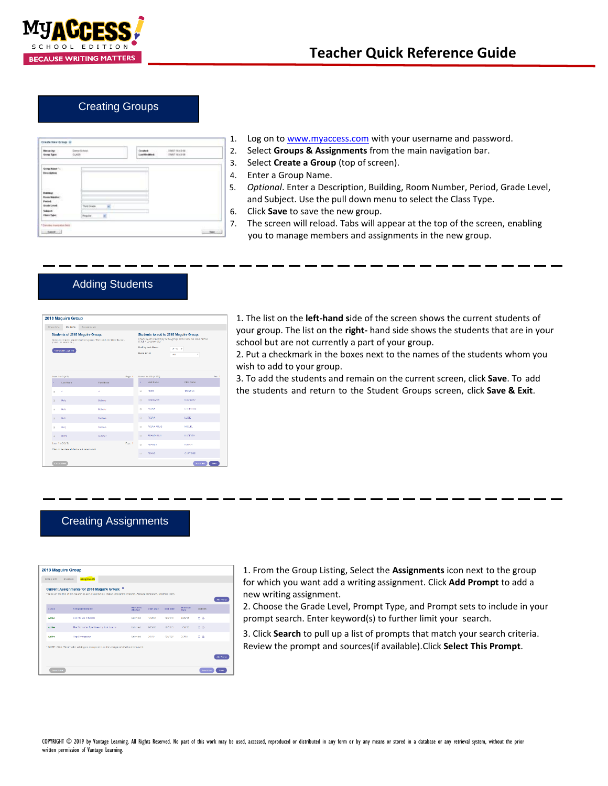

## Creating Groups

| <b>Herards</b><br><b>Group Tabel</b>                            | Demo School<br>CLASS  | Conident<br>Last Moddled | 1007161216<br>19407164358 |  |
|-----------------------------------------------------------------|-----------------------|--------------------------|---------------------------|--|
| Group Nates 11<br><b>Illegardone</b>                            |                       |                          |                           |  |
| <b>Indian</b><br><b>Room Masket:</b><br>Posted.<br>Grade Level: | Their Grade<br>×<br>u |                          |                           |  |
| Salary 1.<br>Class Type:                                        | Repute<br>ë           |                          |                           |  |

- 1. Log on t[o www.myaccess.com](http://www.myaccess.com/) with your username and password.
- 2. Select **Groups & Assignments** from the main navigation bar.
- 3. Select **Create a Group** (top of screen).
- 4. Enter a Group Name.
- 5. *Optional*. Enter a Description, Building, Room Number, Period, Grade Level, and Subject. Use the pull down menu to select the Class Type.
- 6. Click **Save** to save the new group.
- 7. The screen will reload. Tabs will appear at the top of the screen, enabling you to manage members and assignments in the new group.

# Adding Students

|                      | 2018 Maguire Group                              |                                                                                                             |        |                     |                                                 |                                                                                                                                      |        |
|----------------------|-------------------------------------------------|-------------------------------------------------------------------------------------------------------------|--------|---------------------|-------------------------------------------------|--------------------------------------------------------------------------------------------------------------------------------------|--------|
| Group life           | <b>Otudents</b>                                 | Assignments                                                                                                 |        |                     |                                                 |                                                                                                                                      |        |
|                      | (Dick - to select al.)<br>9 av Stowe Lige Ins   | <b>Students of 2018 Maguire Group:</b><br>Check to remove student/s) from group. Then dick the Save button. |        | <b>Grade Length</b> | (Click + to select sil.)<br>Limit by Last Name: | Students to add to 2018 Maguire Group:<br>Check to add studential to the group. Then allow the Seve button.<br>A-IC<br>٠<br>٠<br>ALL |        |
| Users 1 to 6 for 6). |                                                 |                                                                                                             | Page 1 |                     | Users 1 to 282 for 282).                        |                                                                                                                                      | Page 1 |
| ٠                    | Lied Nime                                       | <b>First Name</b>                                                                                           |        | ٠                   | Last Name                                       | <b>First Name</b>                                                                                                                    |        |
| $\mathbb{R}$         | ٠                                               | $\mathcal{A}$                                                                                               |        | $\mathbf{u}$        | Abaza                                           | Teleson 23                                                                                                                           |        |
| $\Box$               | <b>Daily</b>                                    | Betteny                                                                                                     |        | $\Box$              | Arrabis 740                                     | Daring (COT)                                                                                                                         |        |
| $14$                 | Daily                                           | Bothans                                                                                                     |        | $\Omega$            | <b>ALTIMA</b>                                   | <b>TOTTOBATIAN</b>                                                                                                                   |        |
| $\overline{11}$      | $\Omega \omega \partial \rho$                   | Mathew                                                                                                      |        | $\Box$              | <b>ACUNA</b>                                    | <b>ILSSE</b>                                                                                                                         |        |
| n                    | Usity                                           | <b>ESSITING</b>                                                                                             |        | $\sim$              | ACUNA ARMS                                      | <b>MOURI</b>                                                                                                                         |        |
| $\overline{u}$       | Domb                                            | 9.mmer                                                                                                      |        | $\Box$              | ADAMDULLER                                      | <b>HUDEYEA</b>                                                                                                                       |        |
| Users 1 to 6 (of 6). |                                                 |                                                                                                             | Page 1 | $\Omega$            | <b>ADAMES</b>                                   | <b>TOANSYN</b>                                                                                                                       |        |
|                      | *Click on the statement and an act name to soft |                                                                                                             |        | $\cup$              | ADAMS                                           | <b>CLIRTIESE</b>                                                                                                                     |        |
| Guyat 8 Est          |                                                 |                                                                                                             |        |                     |                                                 | <b>Savid Eq.</b>                                                                                                                     | See.   |

1. The list on the **left-hand s**ide of the screen shows the current students of your group. The list on the **right-** hand side shows the students that are in your school but are not currently a part of your group.

2. Put a checkmark in the boxes next to the names of the students whom you wish to add to your group.

3. To add the students and remain on the current screen, click **Save**. To add the students and return to the Student Groups screen, click **Save & Exit**.

### Creating Assignments

| 2018 Maguire Group |                                                                                                                                                                               |                             |                   |                 |                  |                               |  |
|--------------------|-------------------------------------------------------------------------------------------------------------------------------------------------------------------------------|-----------------------------|-------------------|-----------------|------------------|-------------------------------|--|
| Group Info         | Assignments<br><b>Students</b>                                                                                                                                                |                             |                   |                 |                  |                               |  |
|                    | Current Assignments for 2018 Maguire Group: <sup>0</sup><br>* Click on the title of the column to sort, Exemple(s); Status, Assignment Neme, Allowed Revisions, Modified Date |                             |                   |                 |                  | Add Hampt                     |  |
| Status             | Assignment Name                                                                                                                                                               | <b>Recisions</b><br>Allawed | <b>Start Date</b> | <b>End Date</b> | Modified<br>Date | Options                       |  |
| Active             | Cell Phones in School                                                                                                                                                         | Unimited                    | 1/12/18           | 12/31/18        | 623/18           | n a                           |  |
| <b>Active</b>      | The Story of an Eventhees by Jack London                                                                                                                                      | Unimited                    | 8/23/18           | 12/31/18        | 533/95           | 0.8                           |  |
| Active             | <b>Head Immigration</b>                                                                                                                                                       | Unimited                    | 20219             | 12/31/20        | 26019            | 28                            |  |
|                    | 1 NOTE: Click "Save" after adding an assignment, or the assignment will not be saved.                                                                                         |                             |                   |                 |                  | <b>Mil Promot</b>             |  |
| Centrel S.Edd.     |                                                                                                                                                                               |                             |                   |                 |                  | <b>Savis Ed</b><br><b>SMM</b> |  |

1. From the Group Listing, Select the **Assignments** icon next to the group for which you want add a writing assignment. Click **Add Prompt** to add a new writing assignment.

2. Choose the Grade Level, Prompt Type, and Prompt sets to include in your prompt search. Enter keyword(s) to further limit your search.

3. Click **Search** to pull up a list of prompts that match your search criteria. Review the prompt and sources(if available).Click **Select This Prompt**.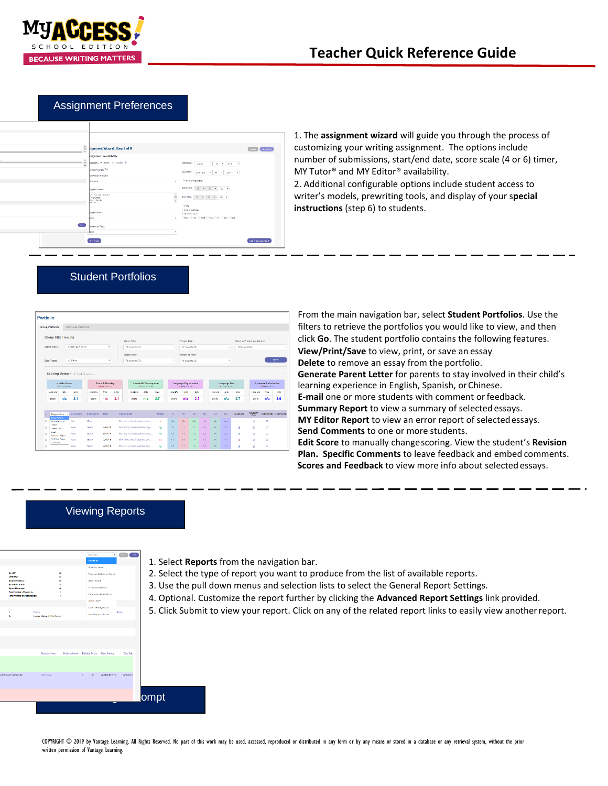

# **Teacher Quick Reference Guide**

1. The **assignment wizard** will guide you through the process of customizing your writing assignment. The options include

### Assignment Preferences



Student Portfolios

| number of submissions, start/end date, score scale (4 or 6) timer, |
|--------------------------------------------------------------------|
| MY Tutor <sup>®</sup> and MY Editor <sup>®</sup> availability.     |
| 2. Additional configurable options include student access to       |
| writer's models, prewriting tools, and display of your special     |
| <b>instructions</b> (step 6) to students.                          |

| Portfolio                   |                                                  |                       |                         |                                   |             |                            |                                                  |               |                           |                                               |                  |                  |                            |                                                |               |                            |                                  |             |
|-----------------------------|--------------------------------------------------|-----------------------|-------------------------|-----------------------------------|-------------|----------------------------|--------------------------------------------------|---------------|---------------------------|-----------------------------------------------|------------------|------------------|----------------------------|------------------------------------------------|---------------|----------------------------|----------------------------------|-------------|
| <b>Group Portfolios</b>     |                                                  | Individual Portfolios |                         |                                   |             |                            |                                                  |               |                           |                                               |                  |                  |                            |                                                |               |                            |                                  |             |
| <b>Group Filter results</b> |                                                  |                       |                         |                                   |             | <b>Steban Filter</b>       |                                                  |               |                           | <b>Prompt Filter</b>                          |                  |                  |                            |                                                |               | Choose Prompts or Genes    |                                  |             |
| Group Select:               |                                                  | Coastr ELA 18 19      |                         | $_{\rm w}$                        |             | All salested (3)           |                                                  |               | ٠                         | Al selected (2)                               |                  |                  |                            | ٠                                              | None selected |                            |                                  | ٠           |
|                             |                                                  |                       |                         |                                   |             | Scales Filter              |                                                  |               |                           | <b>Revisions Filter</b>                       |                  |                  |                            |                                                |               |                            |                                  |             |
| Date Range:                 |                                                  | Al Dales              |                         | $\mathbf v$                       |             | All selected (2)           |                                                  |               | ٠                         |                                               | All salected (3) |                  |                            | ٠                                              |               |                            |                                  | Report      |
|                             | Hollstic Score                                   |                       |                         | Focus & Meaning                   |             |                            | Content & Development                            |               |                           | Language Organization                         |                  |                  |                            | Language Use                                   |               |                            | Grammar & Mechanics              |             |
| <b>Ictal File</b><br>Store  | <b>In Follow Free Sect</b><br>opts<br>nta        | <b>Grate</b><br>3.1   | <b>Ista Pa</b><br>Score | <b>B RAW PLICEY</b><br>60%<br>m/a | cets<br>3.1 | <b>Local Miss</b><br>Space | <b>In Formal Processes</b><br><b>dets</b><br>nla | Sold.<br>2.7  | <b>Intel Par</b><br>Sonte | <b>B Frank Perform</b><br><b>Ander</b><br>n/a | Upfs<br>2.7      |                  | <b>Letail Plu</b><br>Score | <b>In Record Support</b><br><b>Apts</b><br>nla | Good<br>2.7   | <b>Toler Pits</b><br>Score | <b>BRAKERSTON</b><br>4000<br>n/a | Cpls<br>2.6 |
|                             | <b>Desay Actions</b>                             | Last Name             | <b>First Name</b>       | Date                              |             | <b>Assignment</b>          |                                                  | Status        | H                         | ns.                                           | D2               | D3               | D.L                        | D5                                             | Feedback      | Revision<br>Plan           | Comments Originality             |             |
| ×                           | <b>Posta Notices</b><br><b>Mred Print Street</b> | Albert                | Stervy.                 |                                   |             |                            | The Story of an Esseitness by                    | $\mathcal{L}$ | <b>We</b>                 | <b>Iste</b>                                   | rde              | <b>uis</b>       | rda                        | nis                                            |               | B                          | $\circ$                          |             |
| <b>Cleaned</b><br>п         | <b>Interest Ledier</b>                           | Allen                 | Stage                   | 22019                             |             |                            | The Story of an Eventhees by                     | ۵             | $-4.1$                    | 4.1                                           | 3.5 <sub>1</sub> | 3.5 <sub>1</sub> | 3.6                        | 3.4                                            | ŵ             | R                          | $\circ$                          |             |
| <b>broot</b><br>×           | <b>Renders Rende</b>                             | Allon.                | Gliacy                  | 2010/10                           |             |                            | The Story of an Eyewithose by                    | ø             | 4.1                       | 4.1                                           | 3.0              | 35 <sub>1</sub>  | 3.6                        | 23                                             | $\infty$      | $\mathbf{R}$               | o                                |             |
| Comments                    | Mr Editor Property                               | Allian                | Story.                  | 2/15/19                           |             |                            | The Story of an Eventhesis by                    | $^{(2)}$      | 1.9                       | 1.9                                           | 17               | 18               | 16                         | 1.5                                            | Ğ,            | B                          | ö                                |             |

From the main navigation bar, select **Student Portfolios**. Use the filters to retrieve the portfolios you would like to view, and then click **Go**. The student portfolio contains the following features. **View/Print/Save** to view, print, or save an essay **Delete** to remove an essay from the portfolio. **Generate Parent Letter** for parents to stay involved in their child's learning experience in English, Spanish, orChinese. **E-mail** one or more students with comment orfeedback. **Summary Report** to view a summary of selected essays. **MY Editor Report** to view an error report of selectedessays. **Send Comments** to one or more students. **Edit Score** to manually changescoring. View the student's **Revision Plan. Specific Comments** to leave feedback and embed comments.  **Scores and Feedback** to view more info about selected essays.

#### Viewing Reports



- 1. Select **Reports** from the navigation bar.
- 2. Select the type of report you want to produce from the list of available reports.
- 3. Use the pull down menus and selection lists to select the General Report Settings.
- 4. Optional. Customize the report further by clicking the **Advanced Report Settings** link provided.
- 5. Click Submit to view your report. Click on any of the related report links to easily view anotherreport.